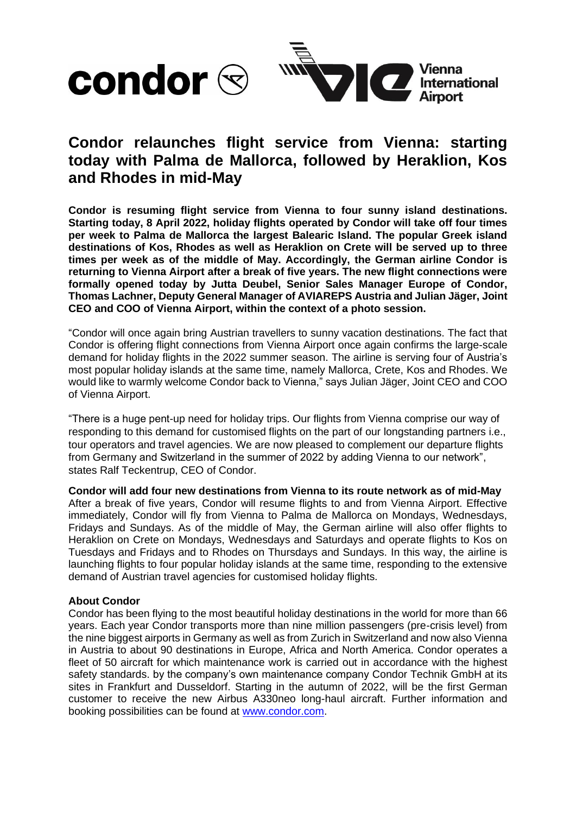

## **Condor relaunches flight service from Vienna: starting today with Palma de Mallorca, followed by Heraklion, Kos and Rhodes in mid-May**

**Condor is resuming flight service from Vienna to four sunny island destinations. Starting today, 8 April 2022, holiday flights operated by Condor will take off four times per week to Palma de Mallorca the largest Balearic Island. The popular Greek island destinations of Kos, Rhodes as well as Heraklion on Crete will be served up to three times per week as of the middle of May. Accordingly, the German airline Condor is returning to Vienna Airport after a break of five years. The new flight connections were formally opened today by Jutta Deubel, Senior Sales Manager Europe of Condor, Thomas Lachner, Deputy General Manager of AVIAREPS Austria and Julian Jäger, Joint CEO and COO of Vienna Airport, within the context of a photo session.**

"Condor will once again bring Austrian travellers to sunny vacation destinations. The fact that Condor is offering flight connections from Vienna Airport once again confirms the large-scale demand for holiday flights in the 2022 summer season. The airline is serving four of Austria's most popular holiday islands at the same time, namely Mallorca, Crete, Kos and Rhodes. We would like to warmly welcome Condor back to Vienna," says Julian Jäger, Joint CEO and COO of Vienna Airport.

"There is a huge pent-up need for holiday trips. Our flights from Vienna comprise our way of responding to this demand for customised flights on the part of our longstanding partners i.e., tour operators and travel agencies. We are now pleased to complement our departure flights from Germany and Switzerland in the summer of 2022 by adding Vienna to our network", states Ralf Teckentrup, CEO of Condor.

**Condor will add four new destinations from Vienna to its route network as of mid-May** After a break of five years, Condor will resume flights to and from Vienna Airport. Effective immediately, Condor will fly from Vienna to Palma de Mallorca on Mondays, Wednesdays, Fridays and Sundays. As of the middle of May, the German airline will also offer flights to Heraklion on Crete on Mondays, Wednesdays and Saturdays and operate flights to Kos on Tuesdays and Fridays and to Rhodes on Thursdays and Sundays. In this way, the airline is launching flights to four popular holiday islands at the same time, responding to the extensive demand of Austrian travel agencies for customised holiday flights.

## **About Condor**

Condor has been flying to the most beautiful holiday destinations in the world for more than 66 years. Each year Condor transports more than nine million passengers (pre-crisis level) from the nine biggest airports in Germany as well as from Zurich in Switzerland and now also Vienna in Austria to about 90 destinations in Europe, Africa and North America. Condor operates a fleet of 50 aircraft for which maintenance work is carried out in accordance with the highest safety standards. by the company's own maintenance company Condor Technik GmbH at its sites in Frankfurt and Dusseldorf. Starting in the autumn of 2022, will be the first German customer to receive the new Airbus A330neo long-haul aircraft. Further information and booking possibilities can be found at [www.condor.com.](http://www.condor.com/)